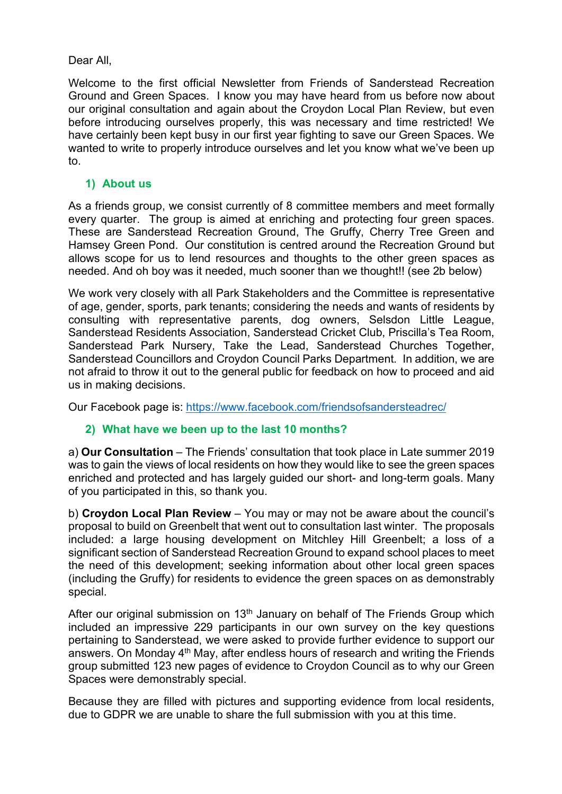## Dear All,

Welcome to the first official Newsletter from Friends of Sanderstead Recreation Ground and Green Spaces. I know you may have heard from us before now about our original consultation and again about the Croydon Local Plan Review, but even before introducing ourselves properly, this was necessary and time restricted! We have certainly been kept busy in our first year fighting to save our Green Spaces. We wanted to write to properly introduce ourselves and let you know what we've been up to.

## **1) About us**

As a friends group, we consist currently of 8 committee members and meet formally every quarter. The group is aimed at enriching and protecting four green spaces. These are Sanderstead Recreation Ground, The Gruffy, Cherry Tree Green and Hamsey Green Pond. Our constitution is centred around the Recreation Ground but allows scope for us to lend resources and thoughts to the other green spaces as needed. And oh boy was it needed, much sooner than we thought!! (see 2b below)

We work very closely with all Park Stakeholders and the Committee is representative of age, gender, sports, park tenants; considering the needs and wants of residents by consulting with representative parents, dog owners, Selsdon Little League, Sanderstead Residents Association, Sanderstead Cricket Club, Priscilla's Tea Room, Sanderstead Park Nursery, Take the Lead, Sanderstead Churches Together, Sanderstead Councillors and Croydon Council Parks Department. In addition, we are not afraid to throw it out to the general public for feedback on how to proceed and aid us in making decisions.

Our Facebook page is[:](https://www.facebook.com/friendsofsandersteadrec/) <https://www.facebook.com/friendsofsandersteadrec/>

# **2) What have we been up to the last 10 months?**

a) **Our Consultation** – The Friends' consultation that took place in Late summer 2019 was to gain the views of local residents on how they would like to see the green spaces enriched and protected and has largely guided our short- and long-term goals. Many of you participated in this, so thank you.

b) **Croydon Local Plan Review** – You may or may not be aware about the council's proposal to build on Greenbelt that went out to consultation last winter. The proposals included: a large housing development on Mitchley Hill Greenbelt; a loss of a significant section of Sanderstead Recreation Ground to expand school places to meet the need of this development; seeking information about other local green spaces (including the Gruffy) for residents to evidence the green spaces on as demonstrably special.

After our original submission on  $13<sup>th</sup>$  January on behalf of The Friends Group which included an impressive 229 participants in our own survey on the key questions pertaining to Sanderstead, we were asked to provide further evidence to support our answers. On Monday 4<sup>th</sup> May, after endless hours of research and writing the Friends group submitted 123 new pages of evidence to Croydon Council as to why our Green Spaces were demonstrably special.

Because they are filled with pictures and supporting evidence from local residents, due to GDPR we are unable to share the full submission with you at this time.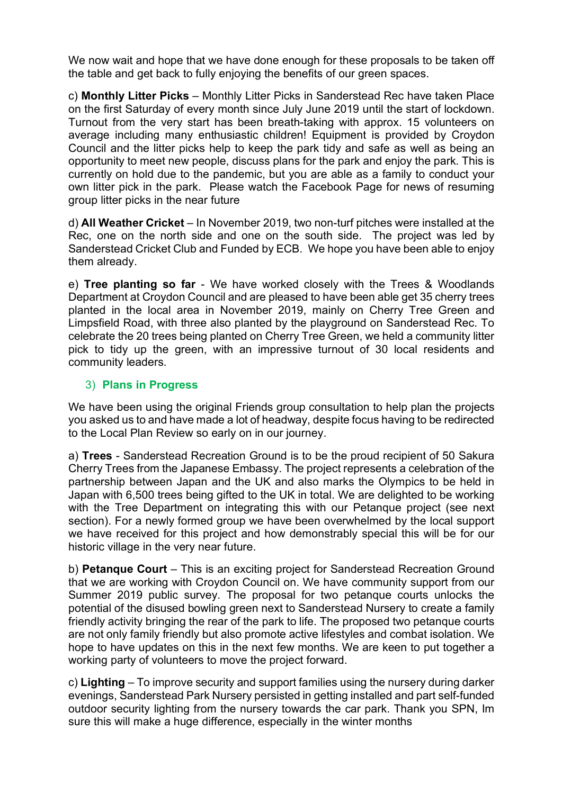We now wait and hope that we have done enough for these proposals to be taken off the table and get back to fully enjoying the benefits of our green spaces.

c) **Monthly Litter Picks** – Monthly Litter Picks in Sanderstead Rec have taken Place on the first Saturday of every month since July June 2019 until the start of lockdown. Turnout from the very start has been breath-taking with approx. 15 volunteers on average including many enthusiastic children! Equipment is provided by Croydon Council and the litter picks help to keep the park tidy and safe as well as being an opportunity to meet new people, discuss plans for the park and enjoy the park. This is currently on hold due to the pandemic, but you are able as a family to conduct your own litter pick in the park. Please watch the Facebook Page for news of resuming group litter picks in the near future

d) **All Weather Cricket** – In November 2019, two non-turf pitches were installed at the Rec, one on the north side and one on the south side. The project was led by Sanderstead Cricket Club and Funded by ECB. We hope you have been able to enjoy them already.

e) **Tree planting so far** - We have worked closely with the Trees & Woodlands Department at Croydon Council and are pleased to have been able get 35 cherry trees planted in the local area in November 2019, mainly on Cherry Tree Green and Limpsfield Road, with three also planted by the playground on Sanderstead Rec. To celebrate the 20 trees being planted on Cherry Tree Green, we held a community litter pick to tidy up the green, with an impressive turnout of 30 local residents and community leaders.

## 3) **Plans in Progress**

We have been using the original Friends group consultation to help plan the projects you asked us to and have made a lot of headway, despite focus having to be redirected to the Local Plan Review so early on in our journey.

a) **Trees** - Sanderstead Recreation Ground is to be the proud recipient of 50 Sakura Cherry Trees from the Japanese Embassy. The project represents a celebration of the partnership between Japan and the UK and also marks the Olympics to be held in Japan with 6,500 trees being gifted to the UK in total. We are delighted to be working with the Tree Department on integrating this with our Petanque project (see next section). For a newly formed group we have been overwhelmed by the local support we have received for this project and how demonstrably special this will be for our historic village in the very near future.

b) **Petanque Court** – This is an exciting project for Sanderstead Recreation Ground that we are working with Croydon Council on. We have community support from our Summer 2019 public survey. The proposal for two petanque courts unlocks the potential of the disused bowling green next to Sanderstead Nursery to create a family friendly activity bringing the rear of the park to life. The proposed two petanque courts are not only family friendly but also promote active lifestyles and combat isolation. We hope to have updates on this in the next few months. We are keen to put together a working party of volunteers to move the project forward.

c) **Lighting** – To improve security and support families using the nursery during darker evenings, Sanderstead Park Nursery persisted in getting installed and part self-funded outdoor security lighting from the nursery towards the car park. Thank you SPN, Im sure this will make a huge difference, especially in the winter months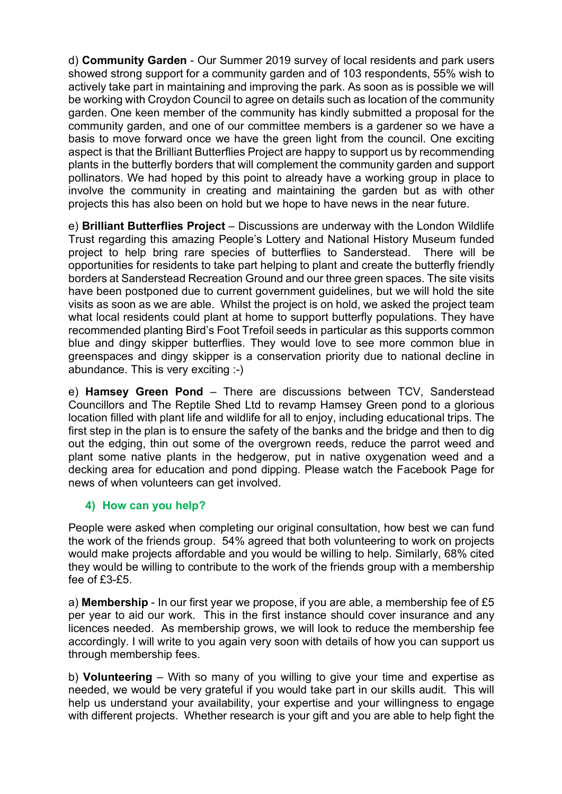d) **Community Garden** - Our Summer 2019 survey of local residents and park users showed strong support for a community garden and of 103 respondents, 55% wish to actively take part in maintaining and improving the park. As soon as is possible we will be working with Croydon Council to agree on details such as location of the community garden. One keen member of the community has kindly submitted a proposal for the community garden, and one of our committee members is a gardener so we have a basis to move forward once we have the green light from the council. One exciting aspect is that the Brilliant Butterflies Project are happy to support us by recommending plants in the butterfly borders that will complement the community garden and support pollinators. We had hoped by this point to already have a working group in place to involve the community in creating and maintaining the garden but as with other projects this has also been on hold but we hope to have news in the near future.

e) **Brilliant Butterflies Project** – Discussions are underway with the London Wildlife Trust regarding this amazing People's Lottery and National History Museum funded project to help bring rare species of butterflies to Sanderstead. There will be opportunities for residents to take part helping to plant and create the butterfly friendly borders at Sanderstead Recreation Ground and our three green spaces. The site visits have been postponed due to current government guidelines, but we will hold the site visits as soon as we are able. Whilst the project is on hold, we asked the project team what local residents could plant at home to support butterfly populations. They have recommended planting Bird's Foot Trefoil seeds in particular as this supports common blue and dingy skipper butterflies. They would love to see more common blue in greenspaces and dingy skipper is a conservation priority due to national decline in abundance. This is very exciting :-)

e) **Hamsey Green Pond** – There are discussions between TCV, Sanderstead Councillors and The Reptile Shed Ltd to revamp Hamsey Green pond to a glorious location filled with plant life and wildlife for all to enjoy, including educational trips. The first step in the plan is to ensure the safety of the banks and the bridge and then to dig out the edging, thin out some of the overgrown reeds, reduce the parrot weed and plant some native plants in the hedgerow, put in native oxygenation weed and a decking area for education and pond dipping. Please watch the Facebook Page for news of when volunteers can get involved.

### **4) How can you help?**

People were asked when completing our original consultation, how best we can fund the work of the friends group. 54% agreed that both volunteering to work on projects would make projects affordable and you would be willing to help. Similarly, 68% cited they would be willing to contribute to the work of the friends group with a membership fee of £3-£5.

a) **Membership** - In our first year we propose, if you are able, a membership fee of £5 per year to aid our work. This in the first instance should cover insurance and any licences needed. As membership grows, we will look to reduce the membership fee accordingly. I will write to you again very soon with details of how you can support us through membership fees.

b) **Volunteering** – With so many of you willing to give your time and expertise as needed, we would be very grateful if you would take part in our skills audit. This will help us understand your availability, your expertise and your willingness to engage with different projects. Whether research is your gift and you are able to help fight the